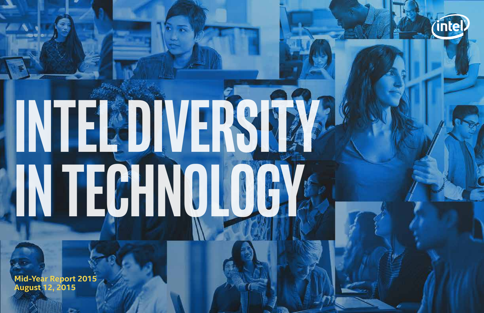# **Intel Diversity in Technology**

**Mid-Year Report 2015 August 12, 2015**

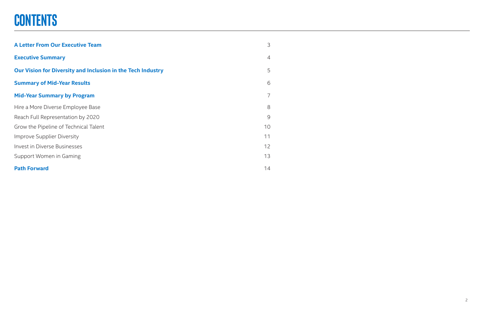| <b>A Letter From Our Executive Team</b>                     | 3              |
|-------------------------------------------------------------|----------------|
| <b>Executive Summary</b>                                    | $\overline{4}$ |
| Our Vision for Diversity and Inclusion in the Tech Industry | 5              |
| <b>Summary of Mid-Year Results</b>                          | 6              |
| <b>Mid-Year Summary by Program</b>                          | 7              |
| Hire a More Diverse Employee Base                           | 8              |
| Reach Full Representation by 2020                           | 9              |
| Grow the Pipeline of Technical Talent                       | 10             |
| Improve Supplier Diversity                                  | 11             |
| <b>Invest in Diverse Businesses</b>                         | 12             |
| Support Women in Gaming                                     | 13             |
| <b>Path Forward</b>                                         | 14             |

2

# **CONTENTS**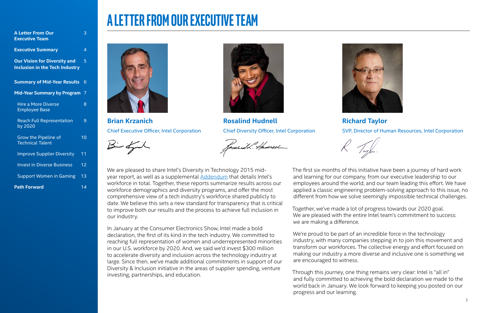# **A LETTER FROM OUR EXECUTIVE TEAM**

We are pleased to share Intel's Diversity in Technology 2015 midyear report, as well as a supplemental **Addendum** that details Intel's workforce in total. Together, these reports summarize results across our workforce demographics and diversity programs, and offer the most comprehensive view of a tech industry's workforce shared publicly to date. We believe this sets a new standard for transparency that is critical to improve both our results and the process to achieve full inclusion in our industry.

In January at the Consumer Electronics Show, Intel made a bold declaration, the first of its kind in the tech industry. We committed to reaching full representation of women and underrepresented minorities in our U.S. workforce by 2020. And, we said we'd invest \$300 million to accelerate diversity and inclusion across the technology industry at large. Since then, we've made additional commitments in support of our Diversity & Inclusion initiative in the areas of supplier spending, venture investing, partnerships, and education.





The first six months of this initiative have been a journey of hard work and learning for our company, from our executive leadership to our employees around the world, and our team leading this effort. We have applied a classic engineering problem-solving approach to this issue, no different from how we solve seemingly impossible technical challenges.

Together, we've made a lot of progress towards our 2020 goal. We are pleased with the entire Intel team's commitment to success: we are making a difference.

We're proud to be part of an incredible force in the technology industry, with many companies stepping in to join this movement and transform our workforces. The collective energy and effort focused on making our industry a more diverse and inclusive one is something we are encouraged to witness.

Through this journey, one thing remains very clear: Intel is "all in" and fully committed to achieving the bold declaration we made to the world back in January. We look forward to keeping you posted on our progress and our learning.



**Brian Krzanich** Chief Executive Officer, Intel Corporation

 $\beta - 2\pi$ 



**Rosalind Hudnell** Chief Diversity Officer, Intel Corporation

fasaí id L. Hadreel

### **Richard Taylor**

SVP, Director of Human Resources, Intel Corporation

| <b>A Letter From Our</b><br><b>Executive Team</b>                            | 3  |
|------------------------------------------------------------------------------|----|
| <b>Executive Summary</b>                                                     | 4  |
| <b>Our Vision for Diversity and</b><br><b>Inclusion in the Tech Industry</b> | 5  |
| <b>Summary of Mid-Year Results</b>                                           | 6  |
| <b>Mid-Year Summary by Program</b>                                           | 7  |
| <b>Hire a More Diverse</b><br><b>Employee Base</b>                           | 8  |
| <b>Reach Full Representation</b><br>by 2020                                  | 9  |
| <b>Grow the Pipeline of</b><br><b>Technical Talent</b>                       | 10 |
| <b>Improve Supplier Diversity</b>                                            | 11 |
| <b>Invest in Diverse Business</b>                                            | 12 |
| <b>Support Women in Gaming</b>                                               | 13 |
| <b>Path Forward</b>                                                          | 14 |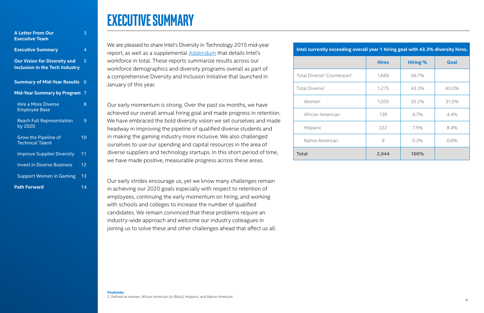### **Executive Summary**

We are pleased to share Intel's Diversity in Technology 2015 mid-year report, as well as a supplemental Addendum that details Intel's workforce in total. These reports summarize results across our workforce demographics and diversity programs overall as part of a comprehensive Diversity and Inclusion Initiative that launched in January of this year.

Our early momentum is strong. Over the past six months, we have achieved our overall annual hiring goal and made progress in retention. We have embraced the bold diversity vision we set ourselves and made headway in improving the pipeline of qualified diverse students and in making the gaming industry more inclusive. We also challenged ourselves to use our spending and capital resources in the area of diverse suppliers and technology startups. In this short period of time, we have made positive, measurable progress across these areas.

Our early strides encourage us, yet we know many challenges remain in achieving our 2020 goals especially with respect to retention of employees, continuing the early momentum on hiring, and working with schools and colleges to increase the number of qualified candidates. We remain convinced that these problems require an industry-wide approach and welcome our industry colleagues in joining us to solve these and other challenges ahead that affect us all.

| Intel currently exceeding overall year 1 hiring goal with 43.3% diversity hires. |              |                 |       |  |  |
|----------------------------------------------------------------------------------|--------------|-----------------|-------|--|--|
|                                                                                  | <b>Hires</b> | <b>Hiring %</b> | Goal  |  |  |
| Total Diverse <sup>2</sup> Counterpart                                           | 1,669        | 56.7%           |       |  |  |
| Total Diverse <sup>2</sup>                                                       | 1,275        | 43.3%           | 40.0% |  |  |
| Women                                                                            | 1,035        | 35.2%           | 31.0% |  |  |
| African American                                                                 | 139          | 4.7%            | 4.4%  |  |  |
| Hispanic                                                                         | 222          | 7.5%            | 8.4%  |  |  |
| Native American                                                                  | 9            | 0.3%            | 0.6%  |  |  |
| Total                                                                            | 2,944        | 100%            |       |  |  |

| Intel currently exceeding o            |
|----------------------------------------|
|                                        |
| Total Diverse <sup>2</sup> Counterpart |
| Total Diverse <sup>2</sup>             |
| Women                                  |
| African American                       |
| Hispanic                               |
| Native American                        |
| <b>Total</b>                           |

| <b>A Letter From Our</b>                                                     | 3               |
|------------------------------------------------------------------------------|-----------------|
| <b>Executive Team</b>                                                        |                 |
| <b>Executive Summary</b>                                                     | 4               |
| <b>Our Vision for Diversity and</b><br><b>Inclusion in the Tech Industry</b> | 5               |
| <b>Summary of Mid-Year Results</b>                                           | 6               |
| <b>Mid-Year Summary by Program</b>                                           | 7               |
| <b>Hire a More Diverse</b><br><b>Employee Base</b>                           | 8               |
| <b>Reach Full Representation</b><br>by 2020                                  | 9               |
| Grow the Pipeline of<br><b>Technical Talent</b>                              | 10              |
| <b>Improve Supplier Diversity</b>                                            | 11              |
| <b>Invest in Diverse Business</b>                                            | 12              |
| <b>Support Women in Gaming</b>                                               | $\overline{13}$ |
| <b>Path Forward</b>                                                          | 14              |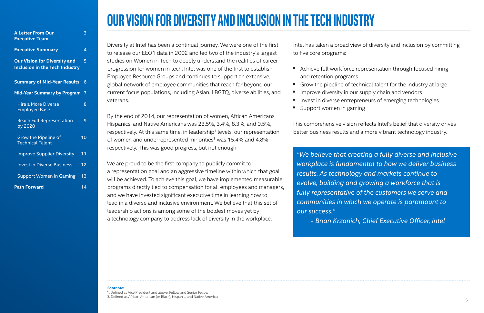# **OUR VISION FOR DIVERSITY AND INCLUSION IN the TECH INDUSTRY**

Diversity at Intel has been a continual journey. We were one of the first to release our EEO1 data in 2002 and led two of the industry's largest studies on Women in Tech to deeply understand the realities of career progression for women in tech. Intel was one of the first to establish Employee Resource Groups and continues to support an extensive, global network of employee communities that reach far beyond our current focus populations, including Asian, LBGTQ, diverse abilities, and veterans.

By the end of 2014, our representation of women, African Americans, Hispanics, and Native Americans was 23.5%, 3.4%, 8.3%, and 0.5%, respectively. At this same time, in leadership<sup>1</sup> levels, our representation of women and underrepresented minorities<sup>3</sup> was 15.4% and 4.8% respectively. This was good progress, but not enough.

- and retention programs
- Grow the pipeline of technical talent for the industry at large
- Improve diversity in our supply chain and vendors
- 
- Invest in diverse entrepreneurs of emerging technologies • Support women in gaming

We are proud to be the first company to publicly commit to a representation goal and an aggressive timeline within which that goal will be achieved. To achieve this goal, we have implemented measurable programs directly tied to compensation for all employees and managers, and we have invested significant executive time in learning how to lead in a diverse and inclusive environment. We believe that this set of leadership actions is among some of the boldest moves yet by a technology company to address lack of diversity in the workplace.

Intel has taken a broad view of diversity and inclusion by committing

to five core programs:

• Achieve full workforce representation through focused hiring

This comprehensive vision reflects Intel's belief that diversity drives better business results and a more vibrant technology industry.

#### **Footnote:**

1. Defined as Vice President and above, Fellow and Senior Fellow

3. Defined as African American (or Black), Hispanic, and Native American

*"We believe that creating a fully diverse and inclusive workplace is fundamental to how we deliver business results. As technology and markets continue to evolve, building and growing a workforce that is fully representative of the customers we serve and communities in which we operate is paramount to our success."* 

 *- Brian Krzanich, Chief Executive Officer, Intel*

| <b>A Letter From Our</b>                                                     | З               |
|------------------------------------------------------------------------------|-----------------|
| <b>Executive Team</b>                                                        |                 |
| <b>Executive Summary</b>                                                     | 4               |
| <b>Our Vision for Diversity and</b><br><b>Inclusion in the Tech Industry</b> | 5               |
| <b>Summary of Mid-Year Results</b>                                           | 6               |
| <b>Mid-Year Summary by Program</b>                                           | 7               |
| <b>Hire a More Diverse</b><br><b>Employee Base</b>                           | 8               |
| <b>Reach Full Representation</b><br>by 2020                                  | 9               |
| Grow the Pipeline of<br><b>Technical Talent</b>                              | 10              |
| <b>Improve Supplier Diversity</b>                                            | 11              |
| <b>Invest in Diverse Business</b>                                            | $\overline{12}$ |
| <b>Support Women in Gaming</b>                                               | 13              |
| <b>Path Forward</b>                                                          | 14              |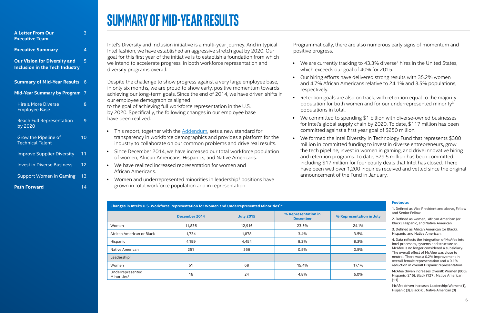# **Summary of Mid-Year Results**

Intel's Diversity and Inclusion initiative is a multi-year journey. And in typical Intel fashion, we have established an aggressive stretch goal by 2020. Our goal for this first year of the initiative is to establish a foundation from which we intend to accelerate progress, in both workforce representation and diversity programs overall.

Despite the challenge to show progress against a very large employee base, in only six months, we are proud to show early, positive momentum towards achieving our long-term goals. Since the end of 2014, we have driven shifts in our employee demographics aligned to the goal of achieving full workforce representation in the U.S. by 2020. Specifically, the following changes in our employee base have been realized:

- This report, together with the **Addendum**, sets a new standard for transparency in workforce demographics and provides a platform for the industry to collaborate on our common problems and drive real results.
- Since December 2014, we have increased our total workforce population of women, African Americans, Hispanics, and Native Americans.
- We have realized increased representation for women and African Americans.
- Women and underrepresented minorities in leadership<sup>1</sup> positions have grown in total workforce population and in representation.

Programmatically, there are also numerous early signs of momentum and positive progress.

• Our hiring efforts have delivered strong results with 35.2% women and 4.7% African Americans relative to 24.1% and 3.5% populations,

• Retention goals are also on track, with retention equal to the majority population for both women and for our underrepresented minority3

• We committed to spending \$1 billion with diverse-owned businesses for Intel's global supply chain by 2020. To date, \$117 million has been committed against a first year goal of \$250 million.

- which exceeds our goal of 40% for 2015.
- respectively.
- populations in total.
- 
- announcement of the Fund in January.

• We formed the Intel Diversity in Technology Fund that represents \$300 million in committed funding to invest in diverse entrepreneurs, grow the tech pipeline, invest in women in gaming, and drive innovative hiring and retention programs. To date, \$29.5 million has been committed, including \$17 million for four equity deals that Intel has closed. There have been well over 1,200 inquiries received and vetted since the original

| Changes in Intel's U.S. Workforce Representation for Women and Underrepresented Minorities <sup>3,4</sup> |               |                  |                                        |                          |  |  |  |
|-----------------------------------------------------------------------------------------------------------|---------------|------------------|----------------------------------------|--------------------------|--|--|--|
|                                                                                                           | December 2014 | <b>July 2015</b> | % Representation in<br><b>December</b> | % Representation in July |  |  |  |
| Women                                                                                                     | 11,836        | 12,916           | 23.5%                                  | 24.1%                    |  |  |  |
| African American or Black                                                                                 | 1,734         | 1,878            | 3.4%                                   | 3.5%                     |  |  |  |
| Hispanic                                                                                                  | 4,199         | 4,454            | 8.3%                                   | 8.3%                     |  |  |  |
| Native American                                                                                           | 251           | 266              | 0.5%                                   | 0.5%                     |  |  |  |
| Leadership <sup>1</sup>                                                                                   |               |                  |                                        |                          |  |  |  |
| Women                                                                                                     | 51            | 68               | 15.4%                                  | 17.1%                    |  |  |  |
| Underrepresented<br>Minorities <sup>3</sup>                                                               | 16            | 24               | 4.8%                                   | $6.0\%$                  |  |  |  |

• We are currently tracking to 43.3% diverse<sup>2</sup> hires in the United States,

#### **Footnote:**

1. Defined as Vice President and above, Fellow and Senior Fellow

2. Defined as women, African American (or Black), Hispanic, and Native American.

3. Defined as African American (or Black), Hispanic, and Native American.

4. Data reflects the integration of McAfee into Intel processes, systems and structure as McAfee is no longer considered a subsidiary. The overall effect of McAfee was close to neutral. There was a 0.2% improvement in overall female representation and a 0.1% reduction in overall Hispanic representation.

McAfee driven increases Overall: Women (800), Hispanic (215), Black (127), Native American (11)

McAfee driven increases Leadership: Women (1), Hispanic (3), Black (0), Native American (0)

| <b>A Letter From Our</b>                                                     | 3  |
|------------------------------------------------------------------------------|----|
| <b>Executive Team</b>                                                        |    |
| <b>Executive Summary</b>                                                     | 4  |
| <b>Our Vision for Diversity and</b><br><b>Inclusion in the Tech Industry</b> | 5  |
| <b>Summary of Mid-Year Results</b>                                           | 6  |
| <b>Mid-Year Summary by Program</b>                                           | 7  |
| <b>Hire a More Diverse</b><br><b>Employee Base</b>                           | 8  |
| <b>Reach Full Representation</b><br>by 2020                                  | 9  |
| Grow the Pipeline of<br><b>Technical Talent</b>                              | 10 |
| <b>Improve Supplier Diversity</b>                                            | 11 |
| <b>Invest in Diverse Business</b>                                            | 12 |
| <b>Support Women in Gaming</b>                                               | 13 |
| <b>Path Forward</b>                                                          | 14 |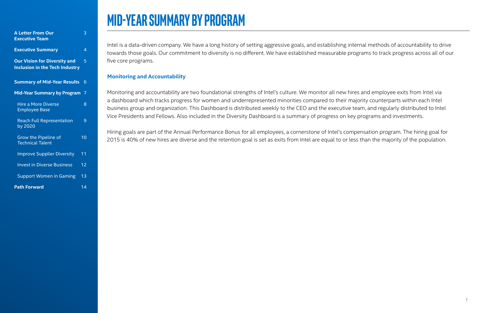### **Mid-Year Summary by Program**

Intel is a data-driven company. We have a long history of setting aggressive goals, and establishing internal methods of accountability to drive towards those goals. Our commitment to diversity is no different. We have established measurable programs to track progress across all of our five core programs.

### **Monitoring and Accountability**

Monitoring and accountability are two foundational strengths of Intel's culture. We monitor all new hires and employee exits from Intel via a dashboard which tracks progress for women and underrepresented minorities compared to their majority counterparts within each Intel business group and organization. This Dashboard is distributed weekly to the CEO and the executive team, and regularly distributed to Intel Vice Presidents and Fellows. Also included in the Diversity Dashboard is a summary of progress on key programs and investments.

Hiring goals are part of the Annual Performance Bonus for all employees, a cornerstone of Intel's compensation program. The hiring goal for 2015 is 40% of new hires are diverse and the retention goal is set as exits from Intel are equal to or less than the majority of the population.

| <b>A Letter From Our</b><br><b>Executive Team</b>                            | З  |
|------------------------------------------------------------------------------|----|
| <b>Executive Summary</b>                                                     | 4  |
| <b>Our Vision for Diversity and</b><br><b>Inclusion in the Tech Industry</b> | 5  |
| <b>Summary of Mid-Year Results</b>                                           | 6  |
| <b>Mid-Year Summary by Program</b>                                           | 7  |
| <b>Hire a More Diverse</b><br><b>Employee Base</b>                           | 8  |
| <b>Reach Full Representation</b><br>by 2020                                  | 9  |
| Grow the Pipeline of<br><b>Technical Talent</b>                              | 10 |
| <b>Improve Supplier Diversity</b>                                            | 11 |
| <b>Invest in Diverse Business</b>                                            | 12 |
| <b>Support Women in Gaming</b>                                               | 13 |
| <b>Path Forward</b>                                                          | 14 |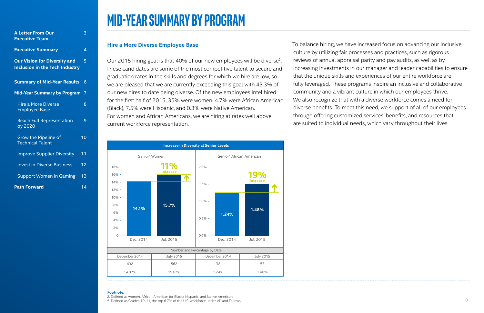#### **Hire a More Diverse Employee Base**

Our 2015 hiring goal is that 40% of our new employees will be diverse<sup>2</sup>. These candidates are some of the most competitive talent to secure and graduation rates in the skills and degrees for which we hire are low, so we are pleased that we are currently exceeding this goal with 43.3% of our new hires to date being diverse. Of the new employees Intel hired for the first half of 2015, 35% were women, 4.7% were African American (Black), 7.5% were Hispanic, and 0.3% were Native American. For women and African Americans, we are hiring at rates well above current workforce representation.

To balance hiring, we have increased focus on advancing our inclusive culture by utilizing fair processes and practices, such as rigorous reviews of annual appraisal parity and pay audits, as well as by increasing investments in our manager and leader capabilities to ensure that the unique skills and experiences of our entire workforce are fully leveraged. These programs inspire an inclusive and collaborative community and a vibrant culture in which our employees thrive. We also recognize that with a diverse workforce comes a need for diverse benefits. To meet this need, we support of all of our employees through offering customized services, benefits, and resources that are suited to individual needs, which vary throughout their lives.

### **Mid-Year Summary by Program**

#### **Footnote:**

2. Defined as women, African American (or Black), Hispanic, and Native American

5. Defined as Grades 10-11, the top 6.7% of the U.S. workforce under VP and Fellows



| <b>A Letter From Our</b>                                                     | 3               |
|------------------------------------------------------------------------------|-----------------|
| <b>Executive Team</b>                                                        |                 |
| <b>Executive Summary</b>                                                     | 4               |
| <b>Our Vision for Diversity and</b><br><b>Inclusion in the Tech Industry</b> | 5               |
| <b>Summary of Mid-Year Results</b>                                           | 6               |
| <b>Mid-Year Summary by Program</b>                                           | 7               |
| <b>Hire a More Diverse</b><br><b>Employee Base</b>                           | 8               |
| <b>Reach Full Representation</b><br>by 2020                                  | 9               |
| <b>Grow the Pipeline of</b><br><b>Technical Talent</b>                       | 10              |
| <b>Improve Supplier Diversity</b>                                            | 11              |
| <b>Invest in Diverse Business</b>                                            | $\overline{12}$ |
| <b>Support Women in Gaming</b>                                               | 13              |
| <b>Path Forward</b>                                                          | 14              |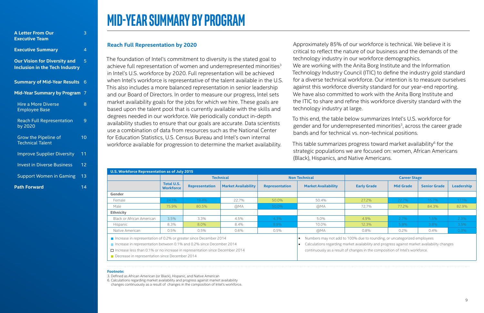#### **Reach Full Representation by 2020**

The foundation of Intel's commitment to diversity is the stated goal to achieve full representation of women and underrepresented minorities<sup>3</sup> in Intel's U.S. workforce by 2020. Full representation will be achieved when Intel's workforce is representative of the talent available in the U.S. This also includes a more balanced representation in senior leadership and our Board of Directors. In order to measure our progress, Intel sets market availability goals for the jobs for which we hire. These goals are based upon the talent pool that is currently available with the skills and degrees needed in our workforce. We periodically conduct in-depth availability studies to ensure that our goals are accurate. Data scientists use a combination of data from resources such as the National Center for Education Statistics, U.S. Census Bureau and Intel's own internal workforce available for progression to determine the market availability.

This table summarizes progress toward market availability<sup>6</sup> for the strategic populations we are focused on: women, African Americans (Black), Hispanics, and Native Americans.

Approximately 85% of our workforce is technical. We believe it is critical to reflect the nature of our business and the demands of the technology industry in our workforce demographics. We are working with the Anita Borg Institute and the Information Technology Industry Council (ITIC) to define the industry gold standard for a diverse technical workforce. Our intention is to measure ourselves against this workforce diversity standard for our year-end reporting. We have also committed to work with the Anita Borg Institute and the ITIC to share and refine this workforce diversity standard with the technology industry at large.

To this end, the table below summarizes Intel's U.S. workforce for gender and for underrepresented minorities<sup>3</sup>, across the career grade bands and for technical vs. non-technical positions.

### **Mid-Year Summary by Program**

| U.S. Workforce Representation as of July 2015                                                                                                                                                                                    |                                |                       |                            |                       |                                                                                                                                                                                                                                                        |                     |                  |                     |            |
|----------------------------------------------------------------------------------------------------------------------------------------------------------------------------------------------------------------------------------|--------------------------------|-----------------------|----------------------------|-----------------------|--------------------------------------------------------------------------------------------------------------------------------------------------------------------------------------------------------------------------------------------------------|---------------------|------------------|---------------------|------------|
|                                                                                                                                                                                                                                  |                                | <b>Technical</b>      |                            | <b>Non Technical</b>  |                                                                                                                                                                                                                                                        | <b>Career Stage</b> |                  |                     |            |
|                                                                                                                                                                                                                                  | Total U.S.<br><b>Workforce</b> | <b>Representation</b> | <b>Market Availability</b> | <b>Representation</b> | <b>Market Availability</b>                                                                                                                                                                                                                             | <b>Early Grade</b>  | <b>Mid Grade</b> | <b>Senior Grade</b> | Leadership |
| Gender                                                                                                                                                                                                                           |                                |                       |                            |                       |                                                                                                                                                                                                                                                        |                     |                  |                     |            |
| Female                                                                                                                                                                                                                           | 24.1%                          | 19.4%                 | 22.7%                      | 50.0%                 | 50.4%                                                                                                                                                                                                                                                  | 27.2%               | 22.7%            | 15.7%               | 17.1%      |
| Male                                                                                                                                                                                                                             | 75.9%                          | 80.5%                 | @MA                        | 50.0%                 | @MA                                                                                                                                                                                                                                                    | 72.7%               | 77.2%            | 84.3%               | 82.9%      |
| <b>Ethnicity</b>                                                                                                                                                                                                                 |                                |                       |                            |                       |                                                                                                                                                                                                                                                        |                     |                  |                     |            |
| Black or African American                                                                                                                                                                                                        | 3.5%                           | $3.3\%$               | 4.5%                       | 4.3%                  | 5.0%                                                                                                                                                                                                                                                   | 4.9%                | 2.7%             | 1.5%                | 2.3%       |
| Hispanic                                                                                                                                                                                                                         | 8.3%                           | 8.0%                  | 8.4%                       | $9.9\%$               | 10.0%                                                                                                                                                                                                                                                  | 12.3%               | 5.8%             | 3.8%                | 3.5%       |
| Native American                                                                                                                                                                                                                  | 0.5%                           | 0.5%                  | $0.6\%$                    | $0.5\%$               | @MA                                                                                                                                                                                                                                                    | $0.8\%$             | $0.2\%$          | $0.4\%$             | 0.3%       |
| Increase in representation of 0.2% or greater since December 2014<br>Increase in representation between 0.1% and 0.2% since December 2014<br>$\Box$ Increase less than 0.1% or no increase in representation since December 2014 |                                |                       |                            |                       | Numbers may not add to 100% due to rounding, or uncategorized employees<br>Calculations regarding market availability and progress against market availability changes<br>continuously as a result of changes in the composition of Intel's workforce. |                     |                  |                     |            |
| Decrease in representation since December 2014                                                                                                                                                                                   |                                |                       |                            |                       |                                                                                                                                                                                                                                                        |                     |                  |                     |            |

| <b>A Letter From Our</b>                                                     | 3  |
|------------------------------------------------------------------------------|----|
| <b>Executive Team</b>                                                        |    |
| <b>Executive Summary</b>                                                     | 4  |
| <b>Our Vision for Diversity and</b><br><b>Inclusion in the Tech Industry</b> | 5  |
| <b>Summary of Mid-Year Results</b>                                           | 6  |
| <b>Mid-Year Summary by Program</b>                                           | 7  |
| <b>Hire a More Diverse</b><br><b>Employee Base</b>                           | 8  |
| <b>Reach Full Representation</b><br>by 2020                                  | 9  |
| Grow the Pipeline of<br><b>Technical Talent</b>                              | 10 |
| <b>Improve Supplier Diversity</b>                                            | 11 |
| <b>Invest in Diverse Business</b>                                            | 12 |
| <b>Support Women in Gaming</b>                                               | 13 |
| <b>Path Forward</b>                                                          | 14 |

#### **Footnote:**

3. Defined as African American (or Black), Hispanic, and Native American

6. Calculations regarding market availability and progress against market availability changes continuously as a result of changes in the composition of Intel's workforce.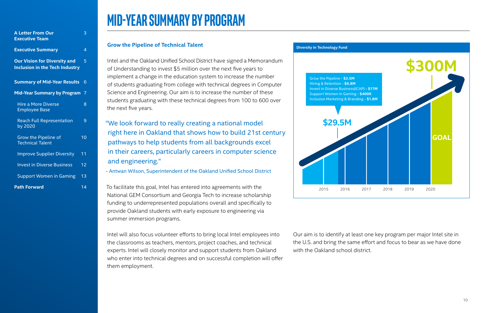### **Grow the Pipeline of Technical Talent**

Intel and the Oakland Unified School District have signed a Memorandum of Understanding to invest \$5 million over the next five years to implement a change in the education system to increase the number of students graduating from college with technical degrees in Computer Science and Engineering. Our aim is to increase the number of these students graduating with these technical degrees from 100 to 600 over the next five years.

To facilitate this goal, Intel has entered into agreements with the National GEM Consortium and Georgia Tech to increase scholarship funding to underrepresented populations overall and specifically to provide Oakland students with early exposure to engineering via summer immersion programs.

Intel will also focus volunteer efforts to bring local Intel employees into the classrooms as teachers, mentors, project coaches, and technical experts. Intel will closely monitor and support students from Oakland who enter into technical degrees and on successful completion will offer them employment.

Our aim is to identify at least one key program per major Intel site in the U.S. and bring the same effort and focus to bear as we have done with the Oakland school district.

### **Mid-Year Summary by Program**

"We look forward to really creating a national model right here in Oakland that shows how to build 21st century pathways to help students from all backgrounds excel in their careers, particularly careers in computer science and engineering."

- Antwan Wilson, Superintendent of the Oakland Unified School District



| <b>A Letter From Our</b>                                                          | 3  |
|-----------------------------------------------------------------------------------|----|
| <b>Executive Team</b>                                                             |    |
| <b>Executive Summary</b>                                                          | 4  |
| 5<br><b>Our Vision for Diversity and</b><br><b>Inclusion in the Tech Industry</b> |    |
| <b>Summary of Mid-Year Results</b>                                                | 6  |
| <b>Mid-Year Summary by Program</b>                                                | 7  |
| <b>Hire a More Diverse</b><br><b>Employee Base</b>                                | 8  |
| <b>Reach Full Representation</b><br>by 2020                                       | 9  |
| Grow the Pipeline of<br><b>Technical Talent</b>                                   | 10 |
| <b>Improve Supplier Diversity</b>                                                 | 11 |
| <b>Invest in Diverse Business</b>                                                 | 12 |
| <b>Support Women in Gaming</b>                                                    | 13 |
| <b>Path Forward</b>                                                               | 14 |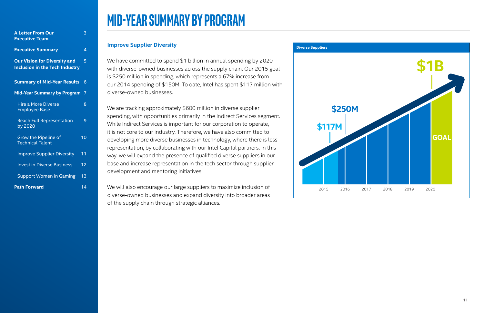#### **Improve Supplier Diversity**

We have committed to spend \$1 billion in annual spending by 2020 with diverse-owned businesses across the supply chain. Our 2015 goal is \$250 million in spending, which represents a 67% increase from our 2014 spending of \$150M. To date, Intel has spent \$117 million with diverse-owned businesses.

We are tracking approximately \$600 million in diverse supplier spending, with opportunities primarily in the Indirect Services segment. While Indirect Services is important for our corporation to operate, it is not core to our industry. Therefore, we have also committed to developing more diverse businesses in technology, where there is less representation, by collaborating with our Intel Capital partners. In this way, we will expand the presence of qualified diverse suppliers in our base and increase representation in the tech sector through supplier development and mentoring initiatives.

We will also encourage our large suppliers to maximize inclusion of diverse-owned businesses and expand diversity into broader areas of the supply chain through strategic alliances.

### **Mid-Year Summary by Program**



| <b>A Letter From Our</b>                                                     | 3  |
|------------------------------------------------------------------------------|----|
| <b>Executive Team</b>                                                        |    |
| <b>Executive Summary</b>                                                     | 4  |
| <b>Our Vision for Diversity and</b><br><b>Inclusion in the Tech Industry</b> | 5  |
| <b>Summary of Mid-Year Results</b>                                           | 6  |
| <b>Mid-Year Summary by Program</b>                                           | 7  |
| <b>Hire a More Diverse</b><br><b>Employee Base</b>                           | 8  |
| <b>Reach Full Representation</b><br>by 2020                                  | 9  |
| Grow the Pipeline of<br><b>Technical Talent</b>                              | 10 |
| <b>Improve Supplier Diversity</b>                                            | 11 |
| <b>Invest in Diverse Business</b>                                            | 12 |
| <b>Support Women in Gaming</b>                                               | 13 |
| <b>Path Forward</b>                                                          | 14 |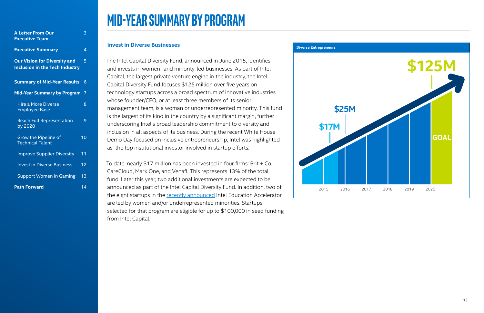#### **Invest in Diverse Businesses**

The Intel Capital Diversity Fund, announced in June 2015, identifies and invests in women- and minority-led businesses. As part of Intel Capital, the largest private venture engine in the industry, the Intel Capital Diversity Fund focuses \$125 million over five years on technology startups across a broad spectrum of innovative industries whose founder/CEO, or at least three members of its senior management team, is a woman or underrepresented minority. This fund is the largest of its kind in the country by a significant margin, further underscoring Intel's broad leadership commitment to diversity and inclusion in all aspects of its business. During the recent White House Demo Day focused on inclusive entrepreneurship, Intel was highlighted as the top institutional investor involved in startup efforts.

To date, nearly \$17 million has been invested in four firms: Brit + Co., CareCloud, Mark One, and Venafi. This represents 13% of the total fund. Later this year, two additional investments are expected to be announced as part of the Intel Capital Diversity Fund. In addition, two of the eight startups in the recently announced Intel Education Accelerator are led by women and/or underrepresented minorities. Startups selected for that program are eligible for up to \$100,000 in seed funding from Intel Capital.

### **Mid-Year Summary by Program**



| <b>A Letter From Our</b>                                                     | 3              |
|------------------------------------------------------------------------------|----------------|
| <b>Executive Team</b>                                                        |                |
| <b>Executive Summary</b>                                                     | 4              |
| <b>Our Vision for Diversity and</b><br><b>Inclusion in the Tech Industry</b> | 5              |
| <b>Summary of Mid-Year Results</b>                                           | $\overline{6}$ |
| <b>Mid-Year Summary by Program</b>                                           | 7              |
| <b>Hire a More Diverse</b><br><b>Employee Base</b>                           | 8              |
| <b>Reach Full Representation</b><br>by 2020                                  | 9              |
| Grow the Pipeline of<br><b>Technical Talent</b>                              | 10             |
| <b>Improve Supplier Diversity</b>                                            | 11             |
| <b>Invest in Diverse Business</b>                                            | 12             |
| <b>Support Women in Gaming</b>                                               | 13             |
| <b>Path Forward</b>                                                          | 14             |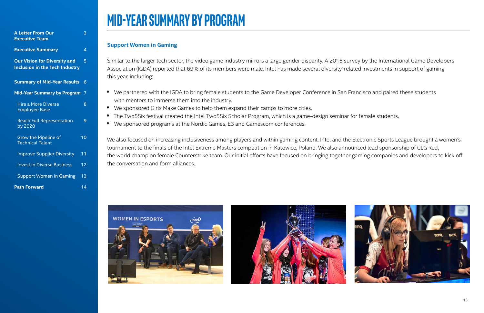### **Support Women in Gaming**

Similar to the larger tech sector, the video game industry mirrors a large gender disparity. A 2015 survey by the International Game Developers Association (IGDA) reported that 69% of its members were male. Intel has made several diversity-related investments in support of gaming this year, including:

- We partnered with the IGDA to bring female students to the Game Developer Conference in San Francisco and paired these students with mentors to immerse them into the industry.
- We sponsored Girls Make Games to help them expand their camps to more cities.
- The Two5Six festival created the Intel Two5Six Scholar Program, which is a game-design seminar for female students.
- We sponsored programs at the Nordic Games, E3 and Gamescom conferences.

We also focused on increasing inclusiveness among players and within gaming content. Intel and the Electronic Sports League brought a women's tournament to the finals of the Intel Extreme Masters competition in Katowice, Poland. We also announced lead sponsorship of CLG Red, the world champion female Counterstrike team. Our initial efforts have focused on bringing together gaming companies and developers to kick off the conversation and form alliances.







# **Mid-Year Summary by Program**

| <b>A Letter From Our</b><br><b>Executive Team</b>                            | З  |
|------------------------------------------------------------------------------|----|
| <b>Executive Summary</b>                                                     | 4  |
| <b>Our Vision for Diversity and</b><br><b>Inclusion in the Tech Industry</b> | 5  |
| <b>Summary of Mid-Year Results</b>                                           | 6  |
| <b>Mid-Year Summary by Program</b>                                           | 7  |
| <b>Hire a More Diverse</b><br><b>Employee Base</b>                           | 8  |
| <b>Reach Full Representation</b><br>by 2020                                  | 9  |
| Grow the Pipeline of<br><b>Technical Talent</b>                              | 10 |
| <b>Improve Supplier Diversity</b>                                            | 11 |
| <b>Invest in Diverse Business</b>                                            | 12 |
| <b>Support Women in Gaming</b>                                               | 13 |
| <b>Path Forward</b>                                                          | 14 |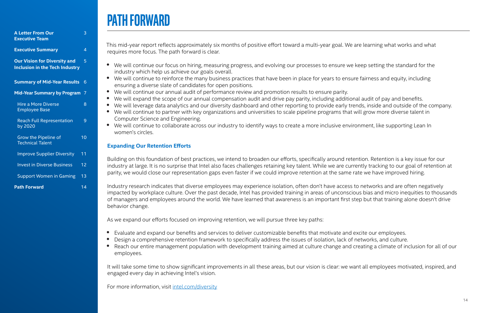### **PATH FORWARD**

This mid-year report reflects approximately six months of positive effort toward a multi-year goal. We are learning what works and what requires more focus. The path forward is clear.

- We will continue our focus on hiring, measuring progress, and evolving our processes to ensure we keep setting the standard for the industry which help us achieve our goals overall.
- We will continue to reinforce the many business practices that have been in place for years to ensure fairness and equity, including ensuring a diverse slate of candidates for open positions.
- We will continue our annual audit of performance review and promotion results to ensure parity.
- We will expand the scope of our annual compensation audit and drive pay parity, including additional audit of pay and benefits.
- We will leverage data analytics and our diversity dashboard and other reporting to provide early trends, inside and outside of the company.
- We will continue to partner with key organizations and universities to scale pipeline programs that will grow more diverse talent in Computer Science and Engineering.
- We will continue to collaborate across our industry to identify ways to create a more inclusive environment, like supporting Lean In women's circles.

### **Expanding Our Retention Efforts**

Building on this foundation of best practices, we intend to broaden our efforts, specifically around retention. Retention is a key issue for our industry at large. It is no surprise that Intel also faces challenges retaining key talent. While we are currently tracking to our goal of retention at parity, we would close our representation gaps even faster if we could improve retention at the same rate we have improved hiring.

Industry research indicates that diverse employees may experience isolation, often don't have access to networks and are often negatively impacted by workplace culture. Over the past decade, Intel has provided training in areas of unconscious bias and micro inequities to thousands of managers and employees around the world. We have learned that awareness is an important first step but that training alone doesn't drive behavior change.

As we expand our efforts focused on improving retention, we will pursue three key paths:

- Evaluate and expand our benefits and services to deliver customizable benefits that motivate and excite our employees.
- Design a comprehensive retention framework to specifically address the issues of isolation, lack of networks, and culture.
- Reach our entire management population with development training aimed at culture change and creating a climate of inclusion for all of our employees.

It will take some time to show significant improvements in all these areas, but our vision is clear: we want all employees motivated, inspired, and engaged every day in achieving Intel's vision.

For more information, visit intel.com/diversity

| <b>A Letter From Our</b>                                                     | 3  |
|------------------------------------------------------------------------------|----|
| <b>Executive Team</b>                                                        |    |
| <b>Executive Summary</b>                                                     | 4  |
| <b>Our Vision for Diversity and</b><br><b>Inclusion in the Tech Industry</b> | 5  |
| <b>Summary of Mid-Year Results</b>                                           | 6  |
| <b>Mid-Year Summary by Program</b>                                           | 7  |
| <b>Hire a More Diverse</b><br><b>Employee Base</b>                           | 8  |
| <b>Reach Full Representation</b><br>by 2020                                  | 9  |
| Grow the Pipeline of<br><b>Technical Talent</b>                              | 10 |
| <b>Improve Supplier Diversity</b>                                            | 11 |
| <b>Invest in Diverse Business</b>                                            | 12 |
| <b>Support Women in Gaming</b>                                               | 13 |
| <b>Path Forward</b>                                                          | 14 |